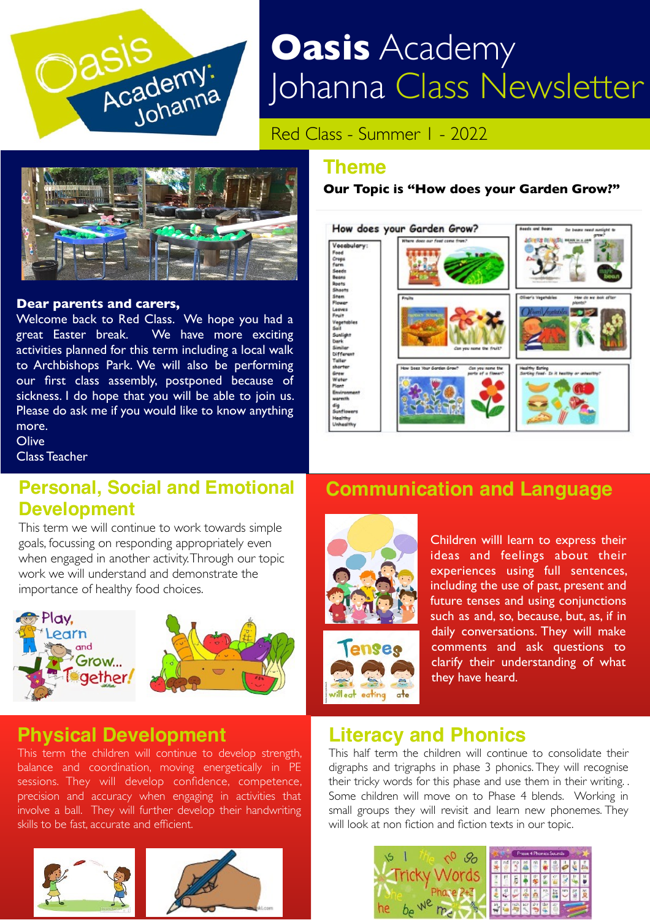

# **Oasis** Academy Johanna Class Newsletter

Red Class - Summer 1 - 2022



#### **Dear parents and carers,**

Welcome back to Red Class. We hope you had a great Easter break. We have more exciting activities planned for this term including a local walk to Archbishops Park. We will also be performing our first class assembly, postponed because of sickness. I do hope that you will be able to join us. Please do ask me if you would like to know anything more.

**Olive** 

Class Teacher

#### **Personal, Social and Emotional Development**

This term we will continue to work towards simple goals, focussing on responding appropriately even when engaged in another activity. Through our topic work we will understand and demonstrate the importance of healthy food choices.



# **Physical Development**

This term the children will continue to develop strength, balance and coordination, moving energetically in PE sessions. They will develop confidence, competence, precision and accuracy when engaging in activities that involve a ball. They will further develop their handwriting skills to be fast, accurate and efficient.





#### **Our Topic is "How does your Garden Grow?"**



#### **Communication and Language**



eating



#### **Literacy and Phonics**

This half term the children will continue to consolidate their digraphs and trigraphs in phase 3 phonics. They will recognise their tricky words for this phase and use them in their writing. . Some children will move on to Phase 4 blends. Working in small groups they will revisit and learn new phonemes. They will look at non fiction and fiction texts in our topic.